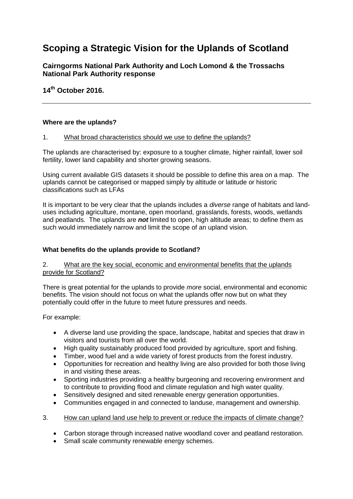# **Scoping a Strategic Vision for the Uplands of Scotland**

**Cairngorms National Park Authority and Loch Lomond & the Trossachs National Park Authority response**

**14th October 2016.**

#### **Where are the uplands?**

#### 1. What broad characteristics should we use to define the uplands?

The uplands are characterised by: exposure to a tougher climate, higher rainfall, lower soil fertility, lower land capability and shorter growing seasons.

Using current available GIS datasets it should be possible to define this area on a map. The uplands cannot be categorised or mapped simply by altitude or latitude or historic classifications such as LFAs

It is important to be very clear that the uplands includes a *diverse* range of habitats and landuses including agriculture, montane, open moorland, grasslands, forests, woods, wetlands and peatlands. The uplands are *not* limited to open, high altitude areas; to define them as such would immediately narrow and limit the scope of an upland vision.

## **What benefits do the uplands provide to Scotland?**

#### 2. What are the key social, economic and environmental benefits that the uplands provide for Scotland?

There is great potential for the uplands to provide *more* social, environmental and economic benefits. The vision should not focus on what the uplands offer now but on what they potentially could offer in the future to meet future pressures and needs.

For example:

- A diverse land use providing the space, landscape, habitat and species that draw in visitors and tourists from all over the world.
- High quality sustainably produced food provided by agriculture, sport and fishing.
- Timber, wood fuel and a wide variety of forest products from the forest industry.
- Opportunities for recreation and healthy living are also provided for both those living in and visiting these areas.
- Sporting industries providing a healthy burgeoning and recovering environment and to contribute to providing flood and climate regulation and high water quality.
- Sensitively designed and sited renewable energy generation opportunities.
- Communities engaged in and connected to landuse, management and ownership.
- 3. How can upland land use help to prevent or reduce the impacts of climate change?
	- Carbon storage through increased native woodland cover and peatland restoration.
	- Small scale community renewable energy schemes.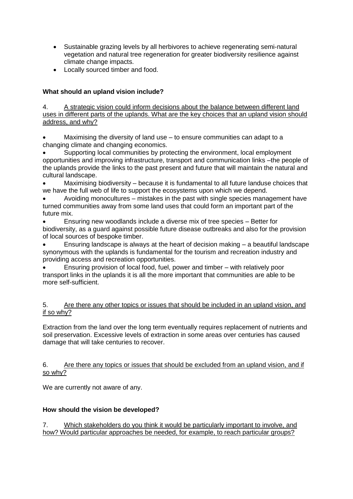- Sustainable grazing levels by all herbivores to achieve regenerating semi-natural vegetation and natural tree regeneration for greater biodiversity resilience against climate change impacts.
- Locally sourced timber and food.

# **What should an upland vision include?**

4. A strategic vision could inform decisions about the balance between different land uses in different parts of the uplands. What are the key choices that an upland vision should address, and why?

 Maximising the diversity of land use – to ensure communities can adapt to a changing climate and changing economics.

 Supporting local communities by protecting the environment, local employment opportunities and improving infrastructure, transport and communication links –the people of the uplands provide the links to the past present and future that will maintain the natural and cultural landscape.

 Maximising biodiversity – because it is fundamental to all future landuse choices that we have the full web of life to support the ecosystems upon which we depend.

 Avoiding monocultures – mistakes in the past with single species management have turned communities away from some land uses that could form an important part of the future mix.

 Ensuring new woodlands include a diverse mix of tree species – Better for biodiversity, as a guard against possible future disease outbreaks and also for the provision of local sources of bespoke timber.

 Ensuring landscape is always at the heart of decision making – a beautiful landscape synonymous with the uplands is fundamental for the tourism and recreation industry and providing access and recreation opportunities.

 Ensuring provision of local food, fuel, power and timber – with relatively poor transport links in the uplands it is all the more important that communities are able to be more self-sufficient.

# 5. Are there any other topics or issues that should be included in an upland vision, and if so why?

Extraction from the land over the long term eventually requires replacement of nutrients and soil preservation. Excessive levels of extraction in some areas over centuries has caused damage that will take centuries to recover.

## 6. Are there any topics or issues that should be excluded from an upland vision, and if so why?

We are currently not aware of any.

# **How should the vision be developed?**

7. Which stakeholders do you think it would be particularly important to involve, and how? Would particular approaches be needed, for example, to reach particular groups?